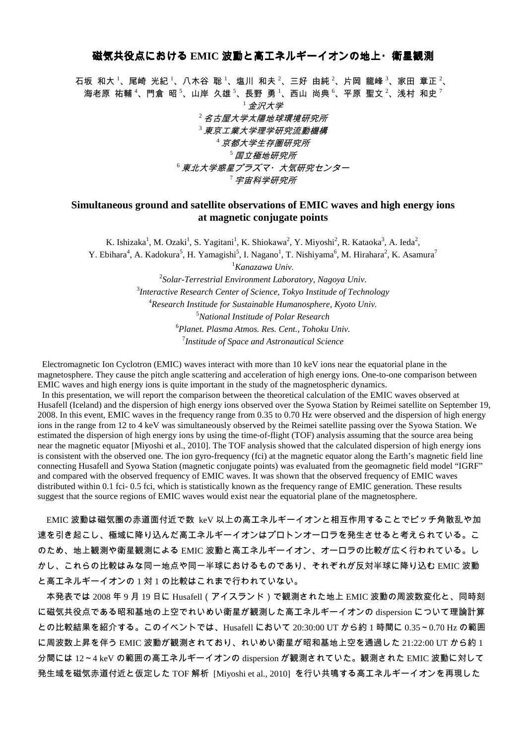## 磁気共役点における **EMIC 波動と高エネルギーイオンの地上・衛星観測**

石坂 和大 <sup>1</sup>、尾崎 光紀 <sup>1</sup>、八木谷 聡 <sup>1</sup>、塩川 和夫 <sup>2</sup>、三好 由純 <sup>2</sup>、片岡 龍峰 <sup>3</sup>、家田 章正 <sup>2</sup>、 海老原 祐輔<sup>4</sup>、門倉 昭<sup>5</sup>、山岸 久雄<sup>5</sup>、長野 勇<sup>1</sup>、西山 尚典<sup>6</sup>、平原 聖文<sup>2</sup>、浅村 和史<sup>7</sup> <sup>1</sup>金沢大学 <sup>2</sup>名古屋大学太陽地球環境研究所 <sup>3</sup>東京工業大学理学研究流動機構 <sup>4</sup>京都大学生存圏研究所  $^5$  国立極地研究所 <sup>6</sup>東北大学惑星プラズマ·大気研究センター <sup>7</sup>宇宙科学研究所

## **Simultaneous ground and satellite observations of EMIC waves and high energy ions at magnetic conjugate points**

K. Ishizaka<sup>1</sup>, M. Ozaki<sup>1</sup>, S. Yagitani<sup>1</sup>, K. Shiokawa<sup>2</sup>, Y. Miyoshi<sup>2</sup>, R. Kataoka<sup>3</sup>, A. Ieda<sup>2</sup>, Y. Ebihara<sup>4</sup>, A. Kadokura<sup>5</sup>, H. Yamagishi<sup>5</sup>, I. Nagano<sup>1</sup>, T. Nishiyama<sup>6</sup>, M. Hirahara<sup>2</sup>, K. Asamura<sup>7</sup>

<sup>1</sup>*Kanazawa Univ.*

 *Solar-Terrestrial Environment Laboratory, Nagoya Univ. Interactive Research Center of Science, Tokyo Institude of Technology Research Institude for Sustainable Humanosphere, Kyoto Univ. National Institude of Polar Research Planet. Plasma Atmos. Res. Cent., Tohoku Univ. Institude of Space and Astronautical Science* 

Electromagnetic Ion Cyclotron (EMIC) waves interact with more than 10 keV ions near the equatorial plane in the magnetosphere. They cause the pitch angle scattering and acceleration of high energy ions. One-to-one comparison between EMIC waves and high energy ions is quite important in the study of the magnetospheric dynamics.

 In this presentation, we will report the comparison between the theoretical calculation of the EMIC waves observed at Husafell (Iceland) and the dispersion of high energy ions observed over the Syowa Station by Reimei satellite on September 19, 2008. In this event, EMIC waves in the frequency range from 0.35 to 0.70 Hz were observed and the dispersion of high energy ions in the range from 12 to 4 keV was simultaneously observed by the Reimei satellite passing over the Syowa Station. We estimated the dispersion of high energy ions by using the time-of-flight (TOF) analysis assuming that the source area being near the magnetic equator [Miyoshi et al., 2010]. The TOF analysis showed that the calculated dispersion of high energy ions is consistent with the observed one. The ion gyro-frequency (fci) at the magnetic equator along the Earth's magnetic field line connecting Husafell and Syowa Station (magnetic conjugate points) was evaluated from the geomagnetic field model "IGRF" and compared with the observed frequency of EMIC waves. It was shown that the observed frequency of EMIC waves distributed within 0.1 fci- 0.5 fci, which is statistically known as the frequency range of EMIC generation. These results suggest that the source regions of EMIC waves would exist near the equatorial plane of the magnetosphere.

EMIC 波動は磁気圏の赤道面付近で数 keV 以上の高エネルギーイオンと相互作用することでピッチ角散乱や加 速を引き起こし、極域に降り込んだ高エネルギーイオンはプロトンオーロラを発生させると考えられている。こ のため、地上観測や衛星観測による EMIC 波動と高エネルギーイオン、オーロラの比較が広く行われている。し かし、これらの比較はみな同一地点や同一半球におけるものであり、それぞれが反対半球に降り込む EMIC 波動 と高エネルギーイオンの 1 対 1 の比較はこれまで行われていない。

本発表では 2008 年 9 月 19 日に Husafell(アイスランド)で観測された地上 EMIC 波動の周波数変化と、同時刻 に磁気共役点である昭和基地の上空でれいめい衛星が観測した高エネルギーイオンの dispersion について理論計算 との比較結果を紹介する。このイベントでは、Husafell において 20:30:00 UT から約 1 時間に 0.35~0.70 Hz の範囲 に周波数上昇を伴う EMIC 波動が観測されており、れいめい衛星が昭和基地上空を通過した 21:22:00 UT から約 1 分間には 12~4 keV の範囲の高エネルギーイオンの dispersion が観測されていた。観測された EMIC 波動に対して 発生域を磁気赤道付近と仮定した TOF 解析 [Miyoshi et al., 2010] を行い共鳴する高エネルギーイオンを再現した